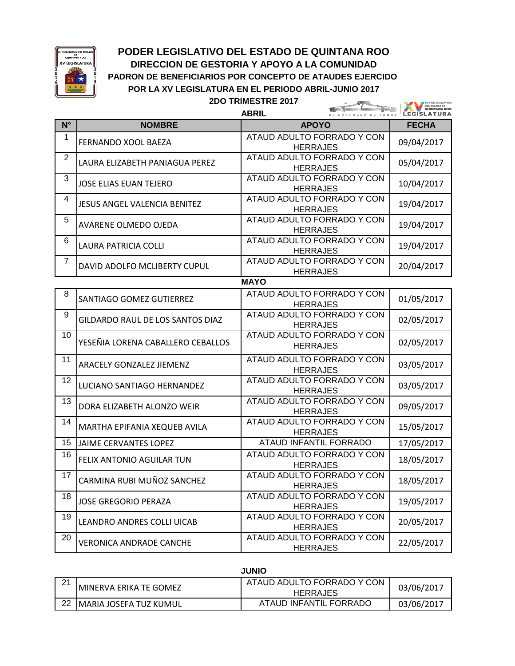

## **PODER LEGISLATIVO DEL ESTADO DE QUINTANA ROO DIRECCION DE GESTORIA Y APOYO A LA COMUNIDAD PADRON DE BENEFICIARIOS POR CONCEPTO DE ATAUDES EJERCIDO POR LA XV LEGISLATURA EN EL PERIODO ABRIL-JUNIO 2017**

**2DO TRIMESTRE 2017**

**Contract Contract** 

**FRODER LEGISLATIVO** 

|                |                                     | <b>ABRIL</b>                                  | <b>GUINTANA ROO</b><br><b>GISLATURA</b> |  |  |  |  |
|----------------|-------------------------------------|-----------------------------------------------|-----------------------------------------|--|--|--|--|
| $N^{\circ}$    | <b>NOMBRE</b>                       | <b>APOYO</b>                                  | <b>FECHA</b>                            |  |  |  |  |
| 1              | FERNANDO XOOL BAEZA                 | ATAUD ADULTO FORRADO Y CON<br><b>HERRAJES</b> | 09/04/2017                              |  |  |  |  |
| $\overline{2}$ | LAURA ELIZABETH PANIAGUA PEREZ      | ATAUD ADULTO FORRADO Y CON<br><b>HERRAJES</b> | 05/04/2017                              |  |  |  |  |
| 3              | <b>JOSE ELIAS EUAN TEJERO</b>       | ATAUD ADULTO FORRADO Y CON<br><b>HERRAJES</b> | 10/04/2017                              |  |  |  |  |
| 4              | <b>JESUS ANGEL VALENCIA BENITEZ</b> | ATAUD ADULTO FORRADO Y CON<br><b>HERRAJES</b> | 19/04/2017                              |  |  |  |  |
| 5              | AVARENE OLMEDO OJEDA                | ATAUD ADULTO FORRADO Y CON<br><b>HERRAJES</b> | 19/04/2017                              |  |  |  |  |
| 6              | LAURA PATRICIA COLLI                | ATAUD ADULTO FORRADO Y CON<br><b>HERRAJES</b> | 19/04/2017                              |  |  |  |  |
| 7              | DAVID ADOLFO MCLIBERTY CUPUL        | ATAUD ADULTO FORRADO Y CON<br><b>HERRAJES</b> | 20/04/2017                              |  |  |  |  |
|                | <b>MAYO</b>                         |                                               |                                         |  |  |  |  |
| 8              | SANTIAGO GOMEZ GUTIERREZ            | ATAUD ADULTO FORRADO Y CON<br><b>HERRAJES</b> | 01/05/2017                              |  |  |  |  |
| 9              | GILDARDO RAUL DE LOS SANTOS DIAZ    | ATAUD ADULTO FORRADO Y CON<br><b>HERRAJES</b> | 02/05/2017                              |  |  |  |  |
| 10             | YESEÑIA LORENA CABALLERO CEBALLOS   | ATAUD ADULTO FORRADO Y CON<br><b>HERRAJES</b> | 02/05/2017                              |  |  |  |  |
| 11             | ARACELY GONZALEZ JIEMENZ            | ATAUD ADULTO FORRADO Y CON<br><b>HERRAJES</b> | 03/05/2017                              |  |  |  |  |
| 12             | LUCIANO SANTIAGO HERNANDEZ          | ATAUD ADULTO FORRADO Y CON<br><b>HERRAJES</b> | 03/05/2017                              |  |  |  |  |
| 13             | DORA ELIZABETH ALONZO WEIR          | ATAUD ADULTO FORRADO Y CON<br><b>HERRAJES</b> | 09/05/2017                              |  |  |  |  |
| 14             | MARTHA EPIFANIA XEQUEB AVILA        | ATAUD ADULTO FORRADO Y CON<br><b>HERRAJES</b> | 15/05/2017                              |  |  |  |  |
| 15             | JAIME CERVANTES LOPEZ               | ATAUD INFANTIL FORRADO                        | 17/05/2017                              |  |  |  |  |
| 16             | FELIX ANTONIO AGUILAR TUN           | ATAUD ADULTO FORRADO Y CON<br><b>HERRAJES</b> | 18/05/2017                              |  |  |  |  |
| 17             | CARMINA RUBI MUÑOZ SANCHEZ          | ATAUD ADULTO FORRADO Y CON<br><b>HERRAJES</b> | 18/05/2017                              |  |  |  |  |
| 18             | <b>JOSE GREGORIO PERAZA</b>         | ATAUD ADULTO FORRADO Y CON<br><b>HERRAJES</b> | 19/05/2017                              |  |  |  |  |
| 19             | LEANDRO ANDRES COLLI UICAB          | ATAUD ADULTO FORRADO Y CON<br><b>HERRAJES</b> | 20/05/2017                              |  |  |  |  |
| 20             | VERONICA ANDRADE CANCHE             | ATAUD ADULTO FORRADO Y CON<br><b>HERRAJES</b> | 22/05/2017                              |  |  |  |  |

**JUNIO**

| $\Omega$<br>$\epsilon$ | IMINERVA ERIKA TE GOMEZ        | ATAUD ADULTO FORRADO Y CON<br><b>HERRAJES</b> | 03/06/2017 |
|------------------------|--------------------------------|-----------------------------------------------|------------|
| 22                     | <b>IMARIA JOSEFA TUZ KUMUL</b> | ATAUD INFANTIL FORRADO                        | 03/06/2017 |